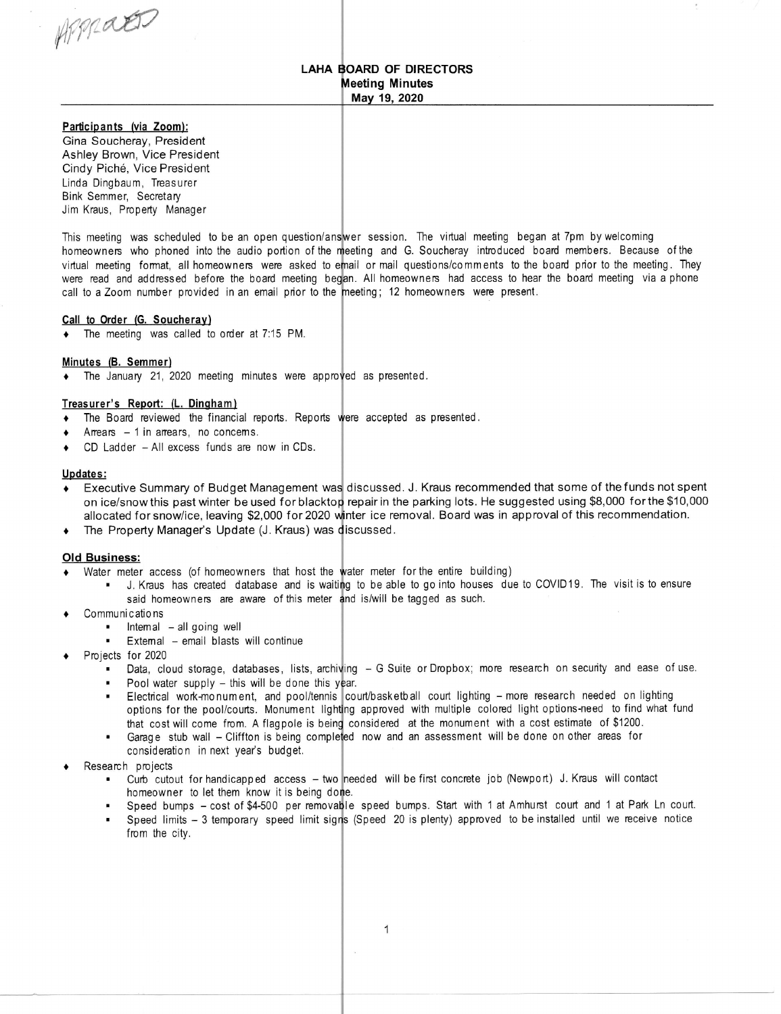WrfraW

### LAHA BOARD OF DIRECTORS **Meeting Minutes** May 19, 2020

Participants {via Zoom): Gina Soucheray, President Ashley Brown, Vice President Cindy Piche, Vice President Linda Dingbaum, Treasurer Bink Semmer, Secretary Jim Kraus, Property Manager

This meeting was scheduled to be an open question/answer session. The virtual meeting began at 7pm by welcoming homeowners who phoned into the audio portion of the meeting and G. Soucheray introduced board members. Because of the virtual meeting format, all homeowners were asked toemail or mail questions/comments tothe board prior tothe meeting. They were read and addressed before the board meeting began. All homeowners had access to hear the board meeting via a phone call to a Zoom number provided in an email prior to the meeting; 12 homeowners were present.

#### Call to Order (G. Soucheray)

The meeting was called to order at 7:15 PM.

### Minutes {B. Semmer)

 $\bullet$  The January 21, 2020 meeting minutes were approved as presented.

### Treasurer's Report: (L. Dingham)

- The Board reviewed the financial reports. Reports were accepted as presented
- 4 <b>Arrears</b> − 1 in arrears, no concerns.<br>\n<b>•</b> <math display="block">CD \cdot \text{I} \cdot \text{adder} \text{All excess funds are } r</math>
- CD Ladder All excess funds are now in CDs.

### Updates:

- Executive Summary of Budget Management was discussed. J. Kraus recommended that some of the funds not spent on ice/snow this past winter be used for blacktop repair in the parking lots. He suggested using \$8,000 for the \$10,000 allocated for snow/ice, leaving \$2,000 for 2020 winter ice removal. Board was in approval of this recommendation
- The Property Manager's Update (J. Kraus) was discussed

### Old Business:

- Water meter access (of homeowners that host the water meter for the entire building)
	- I here access (or homeowners that host the water meter for the entire banding).<br>• J. Kraus has created database and is waiting to be able to go into houses due to COVID19. The visit is to ensure said homeowners are aware of this meter and is/will be tagged as such.
- Communications
	- Intemal all going well
	- Extemal email blasts will continue
- Projects for 2020
	- Data, cloud storage, databases, lists, archiving G Suite or Dropbox; more research on security and ease of use.
	- Pool water supply  $-$  this will be done this year.
	- Electrical work-monum ent, and pool/tennis court/basketball court lighting more research needed on lighting options for the pool/courts. Monument lighting approved with multiple colored light options-need to find what fund that cost will come from. A flagpole is being considered at the monument with a cost estimate of \$1200.
	- Ganage stub wall Cliffton is being considered at the mondition with a cock countries of crisis. consideration in next year's budget.
- Research projects
	- arch projects<br>• Curb cutout for handicapped access two needed will be first concrete job (Newport) J. Kraus will contact homeowner to let them know it is being done.
	- Speed bumps cost of \$4-500 per removable speed bumps. Start with 1 at Amhurst court and 1 at Park Ln court.
	- . Speed limits 3 temporary speed limit sig (Speed 20 is plenty) approved to be installed until we receive noticefrom the city.

 $\bar{\alpha}$